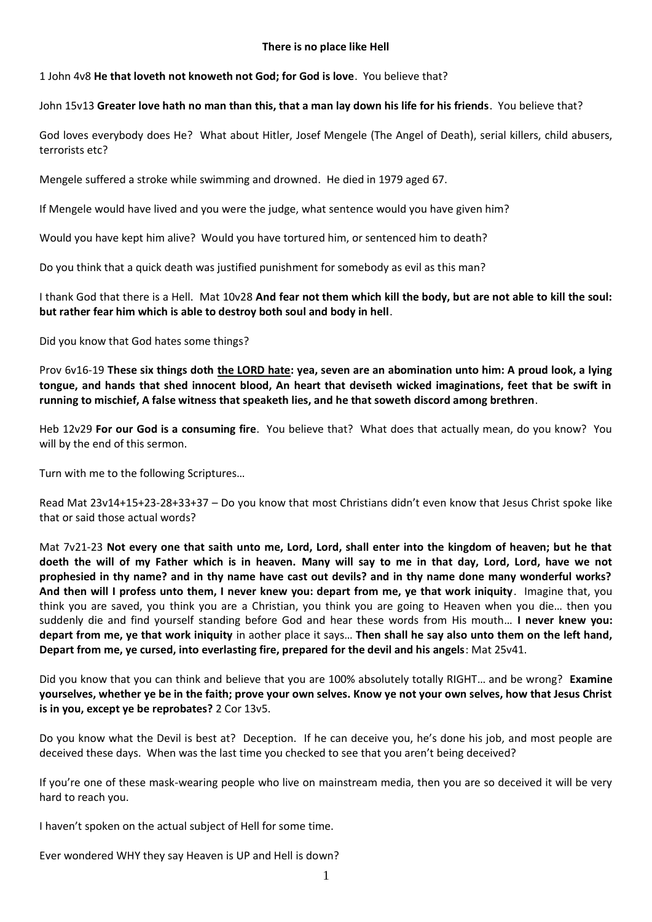#### **There is no place like Hell**

1 John 4v8 **He that loveth not knoweth not God; for God is love**. You believe that?

## John 15v13 **Greater love hath no man than this, that a man lay down his life for his friends**. You believe that?

God loves everybody does He? What about Hitler, Josef Mengele (The Angel of Death), serial killers, child abusers, terrorists etc?

Mengele suffered a stroke while swimming and drowned. He died in 1979 aged 67.

If Mengele would have lived and you were the judge, what sentence would you have given him?

Would you have kept him alive? Would you have tortured him, or sentenced him to death?

Do you think that a quick death was justified punishment for somebody as evil as this man?

I thank God that there is a Hell. Mat 10v28 **And fear not them which kill the body, but are not able to kill the soul: but rather fear him which is able to destroy both soul and body in hell**.

Did you know that God hates some things?

Prov 6v16-19 **These six things doth the LORD hate: yea, seven are an abomination unto him: A proud look, a lying tongue, and hands that shed innocent blood, An heart that deviseth wicked imaginations, feet that be swift in running to mischief, A false witness that speaketh lies, and he that soweth discord among brethren**.

Heb 12v29 **For our God is a consuming fire**. You believe that? What does that actually mean, do you know? You will by the end of this sermon.

Turn with me to the following Scriptures…

Read Mat 23v14+15+23-28+33+37 – Do you know that most Christians didn't even know that Jesus Christ spoke like that or said those actual words?

Mat 7v21-23 **Not every one that saith unto me, Lord, Lord, shall enter into the kingdom of heaven; but he that doeth the will of my Father which is in heaven. Many will say to me in that day, Lord, Lord, have we not prophesied in thy name? and in thy name have cast out devils? and in thy name done many wonderful works? And then will I profess unto them, I never knew you: depart from me, ye that work iniquity**. Imagine that, you think you are saved, you think you are a Christian, you think you are going to Heaven when you die… then you suddenly die and find yourself standing before God and hear these words from His mouth… **I never knew you: depart from me, ye that work iniquity** in aother place it says… **Then shall he say also unto them on the left hand, Depart from me, ye cursed, into everlasting fire, prepared for the devil and his angels**: Mat 25v41.

Did you know that you can think and believe that you are 100% absolutely totally RIGHT… and be wrong? **Examine yourselves, whether ye be in the faith; prove your own selves. Know ye not your own selves, how that Jesus Christ is in you, except ye be reprobates?** 2 Cor 13v5.

Do you know what the Devil is best at? Deception. If he can deceive you, he's done his job, and most people are deceived these days. When was the last time you checked to see that you aren't being deceived?

If you're one of these mask-wearing people who live on mainstream media, then you are so deceived it will be very hard to reach you.

I haven't spoken on the actual subject of Hell for some time.

Ever wondered WHY they say Heaven is UP and Hell is down?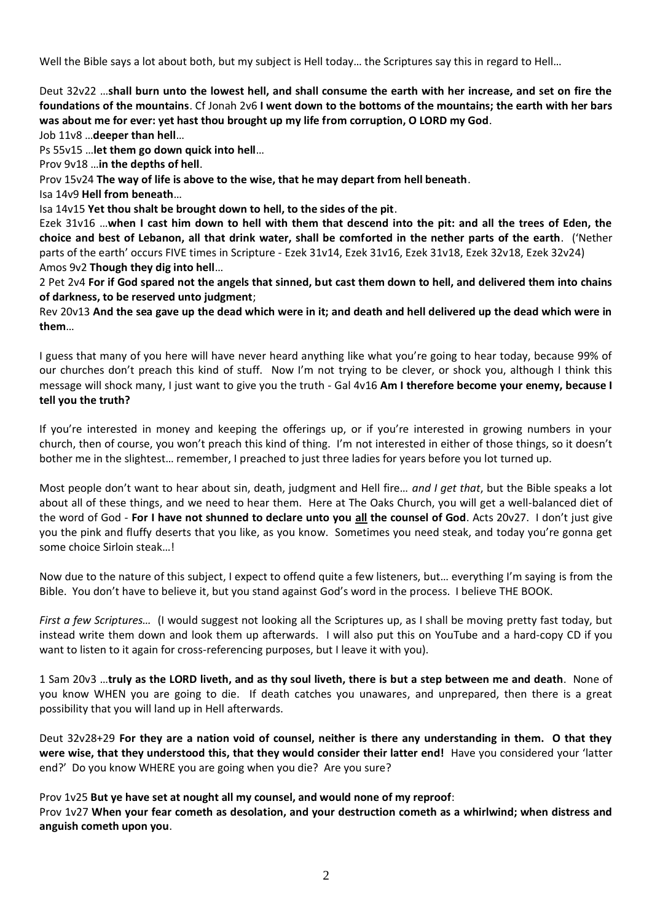Well the Bible says a lot about both, but my subject is Hell today... the Scriptures say this in regard to Hell...

Deut 32v22 …**shall burn unto the lowest hell, and shall consume the earth with her increase, and set on fire the foundations of the mountains**. Cf Jonah 2v6 **I went down to the bottoms of the mountains; the earth with her bars was about me for ever: yet hast thou brought up my life from corruption, O LORD my God**.

Job 11v8 …**deeper than hell**…

Ps 55v15 …**let them go down quick into hell**…

Prov 9v18 …**in the depths of hell**.

Prov 15v24 **The way of life is above to the wise, that he may depart from hell beneath**.

Isa 14v9 **Hell from beneath**…

Isa 14v15 **Yet thou shalt be brought down to hell, to the sides of the pit**.

Ezek 31v16 …**when I cast him down to hell with them that descend into the pit: and all the trees of Eden, the choice and best of Lebanon, all that drink water, shall be comforted in the nether parts of the earth**. ('Nether parts of the earth' occurs FIVE times in Scripture - Ezek 31v14, Ezek 31v16, Ezek 31v18, Ezek 32v18, Ezek 32v24) Amos 9v2 **Though they dig into hell**…

2 Pet 2v4 **For if God spared not the angels that sinned, but cast them down to hell, and delivered them into chains of darkness, to be reserved unto judgment**;

Rev 20v13 **And the sea gave up the dead which were in it; and death and hell delivered up the dead which were in them**…

I guess that many of you here will have never heard anything like what you're going to hear today, because 99% of our churches don't preach this kind of stuff. Now I'm not trying to be clever, or shock you, although I think this message will shock many, I just want to give you the truth - Gal 4v16 **Am I therefore become your enemy, because I tell you the truth?**

If you're interested in money and keeping the offerings up, or if you're interested in growing numbers in your church, then of course, you won't preach this kind of thing. I'm not interested in either of those things, so it doesn't bother me in the slightest… remember, I preached to just three ladies for years before you lot turned up.

Most people don't want to hear about sin, death, judgment and Hell fire… *and I get that*, but the Bible speaks a lot about all of these things, and we need to hear them. Here at The Oaks Church, you will get a well-balanced diet of the word of God - **For I have not shunned to declare unto you all the counsel of God**. Acts 20v27. I don't just give you the pink and fluffy deserts that you like, as you know. Sometimes you need steak, and today you're gonna get some choice Sirloin steak…!

Now due to the nature of this subject, I expect to offend quite a few listeners, but… everything I'm saying is from the Bible. You don't have to believe it, but you stand against God's word in the process. I believe THE BOOK.

*First a few Scriptures…* (I would suggest not looking all the Scriptures up, as I shall be moving pretty fast today, but instead write them down and look them up afterwards. I will also put this on YouTube and a hard-copy CD if you want to listen to it again for cross-referencing purposes, but I leave it with you).

1 Sam 20v3 …**truly as the LORD liveth, and as thy soul liveth, there is but a step between me and death**. None of you know WHEN you are going to die. If death catches you unawares, and unprepared, then there is a great possibility that you will land up in Hell afterwards.

Deut 32v28+29 **For they are a nation void of counsel, neither is there any understanding in them. O that they were wise, that they understood this, that they would consider their latter end!** Have you considered your 'latter end?' Do you know WHERE you are going when you die? Are you sure?

Prov 1v25 **But ye have set at nought all my counsel, and would none of my reproof**:

Prov 1v27 **When your fear cometh as desolation, and your destruction cometh as a whirlwind; when distress and anguish cometh upon you**.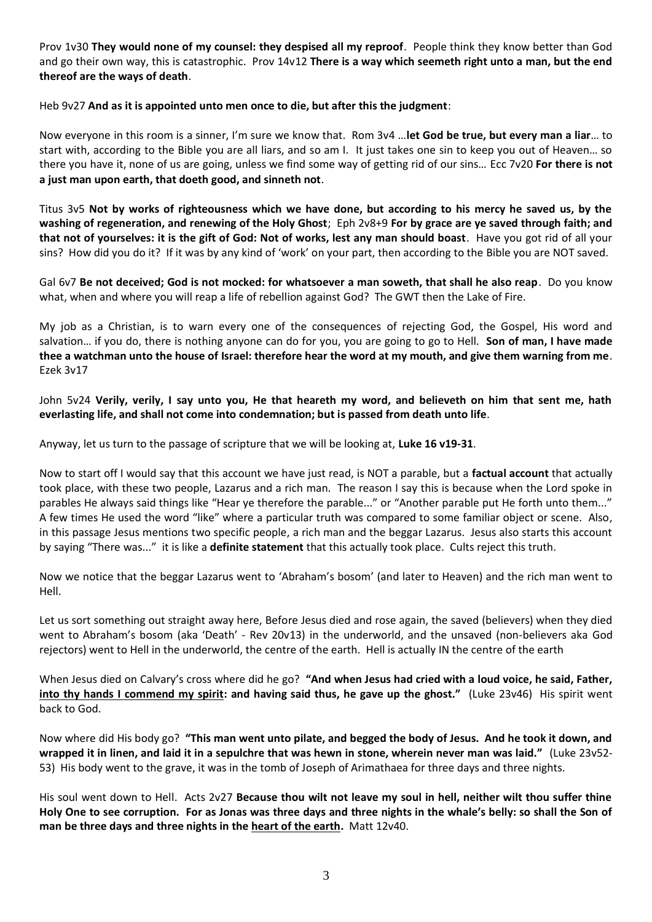Prov 1v30 **They would none of my counsel: they despised all my reproof**. People think they know better than God and go their own way, this is catastrophic. Prov 14v12 **There is a way which seemeth right unto a man, but the end thereof are the ways of death**.

# Heb 9v27 **And as it is appointed unto men once to die, but after this the judgment**:

Now everyone in this room is a sinner, I'm sure we know that. Rom 3v4 …**let God be true, but every man a liar**… to start with, according to the Bible you are all liars, and so am I. It just takes one sin to keep you out of Heaven… so there you have it, none of us are going, unless we find some way of getting rid of our sins… Ecc 7v20 **For there is not a just man upon earth, that doeth good, and sinneth not**.

Titus 3v5 **Not by works of righteousness which we have done, but according to his mercy he saved us, by the washing of regeneration, and renewing of the Holy Ghost**; Eph 2v8+9 **For by grace are ye saved through faith; and that not of yourselves: it is the gift of God: Not of works, lest any man should boast**. Have you got rid of all your sins? How did you do it? If it was by any kind of 'work' on your part, then according to the Bible you are NOT saved.

Gal 6v7 **Be not deceived; God is not mocked: for whatsoever a man soweth, that shall he also reap**. Do you know what, when and where you will reap a life of rebellion against God? The GWT then the Lake of Fire.

My job as a Christian, is to warn every one of the consequences of rejecting God, the Gospel, His word and salvation… if you do, there is nothing anyone can do for you, you are going to go to Hell. **Son of man, I have made thee a watchman unto the house of Israel: therefore hear the word at my mouth, and give them warning from me**. Ezek 3v17

John 5v24 **Verily, verily, I say unto you, He that heareth my word, and believeth on him that sent me, hath everlasting life, and shall not come into condemnation; but is passed from death unto life**.

Anyway, let us turn to the passage of scripture that we will be looking at, **Luke 16 v19-31**.

Now to start off I would say that this account we have just read, is NOT a parable, but a **factual account** that actually took place, with these two people, Lazarus and a rich man. The reason I say this is because when the Lord spoke in parables He always said things like "Hear ye therefore the parable..." or "Another parable put He forth unto them..." A few times He used the word "like" where a particular truth was compared to some familiar object or scene. Also, in this passage Jesus mentions two specific people, a rich man and the beggar Lazarus. Jesus also starts this account by saying "There was..." it is like a **definite statement** that this actually took place. Cults reject this truth.

Now we notice that the beggar Lazarus went to 'Abraham's bosom' (and later to Heaven) and the rich man went to Hell.

Let us sort something out straight away here, Before Jesus died and rose again, the saved (believers) when they died went to Abraham's bosom (aka 'Death' - Rev 20v13) in the underworld, and the unsaved (non-believers aka God rejectors) went to Hell in the underworld, the centre of the earth. Hell is actually IN the centre of the earth

When Jesus died on Calvary's cross where did he go? **"And when Jesus had cried with a loud voice, he said, Father, into thy hands I commend my spirit: and having said thus, he gave up the ghost."** (Luke 23v46) His spirit went back to God.

Now where did His body go? **"This man went unto pilate, and begged the body of Jesus. And he took it down, and wrapped it in linen, and laid it in a sepulchre that was hewn in stone, wherein never man was laid."** (Luke 23v52- 53)His body went to the grave, it was in the tomb of Joseph of Arimathaea for three days and three nights.

His soul went down to Hell. Acts 2v27 **Because thou wilt not leave my soul in hell, neither wilt thou suffer thine Holy One to see corruption. For as Jonas was three days and three nights in the whale's belly: so shall the Son of man be three days and three nights in the heart of the earth.** Matt 12v40.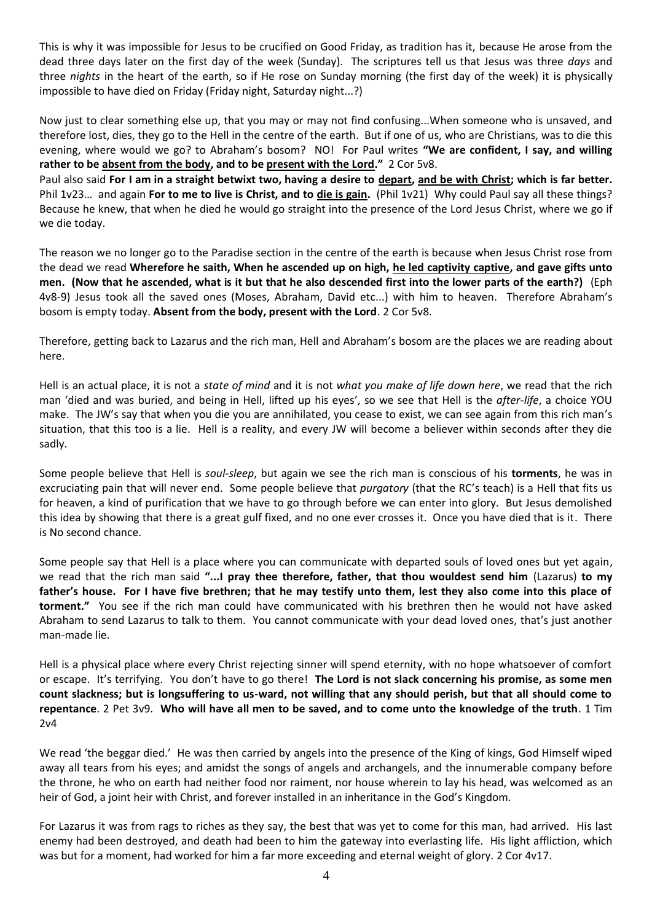This is why it was impossible for Jesus to be crucified on Good Friday, as tradition has it, because He arose from the dead three days later on the first day of the week (Sunday). The scriptures tell us that Jesus was three *days* and three *nights* in the heart of the earth, so if He rose on Sunday morning (the first day of the week) it is physically impossible to have died on Friday (Friday night, Saturday night...?)

Now just to clear something else up, that you may or may not find confusing...When someone who is unsaved, and therefore lost, dies, they go to the Hell in the centre of the earth. But if one of us, who are Christians, was to die this evening, where would we go? to Abraham's bosom? NO! For Paul writes **"We are confident, I say, and willing rather to be absent from the body, and to be present with the Lord."** 2 Cor 5v8.

Paul also said **For I am in a straight betwixt two, having a desire to depart, and be with Christ; which is far better.** Phil 1v23... and again For to me to live is Christ, and to die is gain. (Phil 1v21) Why could Paul say all these things? Because he knew, that when he died he would go straight into the presence of the Lord Jesus Christ, where we go if we die today.

The reason we no longer go to the Paradise section in the centre of the earth is because when Jesus Christ rose from the dead we read **Wherefore he saith, When he ascended up on high, he led captivity captive, and gave gifts unto men. (Now that he ascended, what is it but that he also descended first into the lower parts of the earth?)** (Eph 4v8-9) Jesus took all the saved ones (Moses, Abraham, David etc...) with him to heaven. Therefore Abraham's bosom is empty today. **Absent from the body, present with the Lord**. 2 Cor 5v8.

Therefore, getting back to Lazarus and the rich man, Hell and Abraham's bosom are the places we are reading about here.

Hell is an actual place, it is not a *state of mind* and it is not *what you make of life down here*, we read that the rich man 'died and was buried, and being in Hell, lifted up his eyes', so we see that Hell is the *after-life*, a choice YOU make. The JW's say that when you die you are annihilated, you cease to exist, we can see again from this rich man's situation, that this too is a lie. Hell is a reality, and every JW will become a believer within seconds after they die sadly.

Some people believe that Hell is *soul-sleep*, but again we see the rich man is conscious of his **torments**, he was in excruciating pain that will never end. Some people believe that *purgatory* (that the RC's teach) is a Hell that fits us for heaven, a kind of purification that we have to go through before we can enter into glory. But Jesus demolished this idea by showing that there is a great gulf fixed, and no one ever crosses it. Once you have died that is it. There is No second chance.

Some people say that Hell is a place where you can communicate with departed souls of loved ones but yet again, we read that the rich man said **"...I pray thee therefore, father, that thou wouldest send him** (Lazarus) **to my father's house. For I have five brethren; that he may testify unto them, lest they also come into this place of torment."** You see if the rich man could have communicated with his brethren then he would not have asked Abraham to send Lazarus to talk to them. You cannot communicate with your dead loved ones, that's just another man-made lie.

Hell is a physical place where every Christ rejecting sinner will spend eternity, with no hope whatsoever of comfort or escape. It's terrifying. You don't have to go there! **The Lord is not slack concerning his promise, as some men count slackness; but is longsuffering to us-ward, not willing that any should perish, but that all should come to repentance**. 2 Pet 3v9. **Who will have all men to be saved, and to come unto the knowledge of the truth**. 1 Tim 2v4

We read 'the beggar died.' He was then carried by angels into the presence of the King of kings, God Himself wiped away all tears from his eyes; and amidst the songs of angels and archangels, and the innumerable company before the throne, he who on earth had neither food nor raiment, nor house wherein to lay his head, was welcomed as an heir of God, a joint heir with Christ, and forever installed in an inheritance in the God's Kingdom.

For Lazarus it was from rags to riches as they say, the best that was yet to come for this man, had arrived. His last enemy had been destroyed, and death had been to him the gateway into everlasting life. His light affliction, which was but for a moment, had worked for him a far more exceeding and eternal weight of glory. 2 Cor 4v17.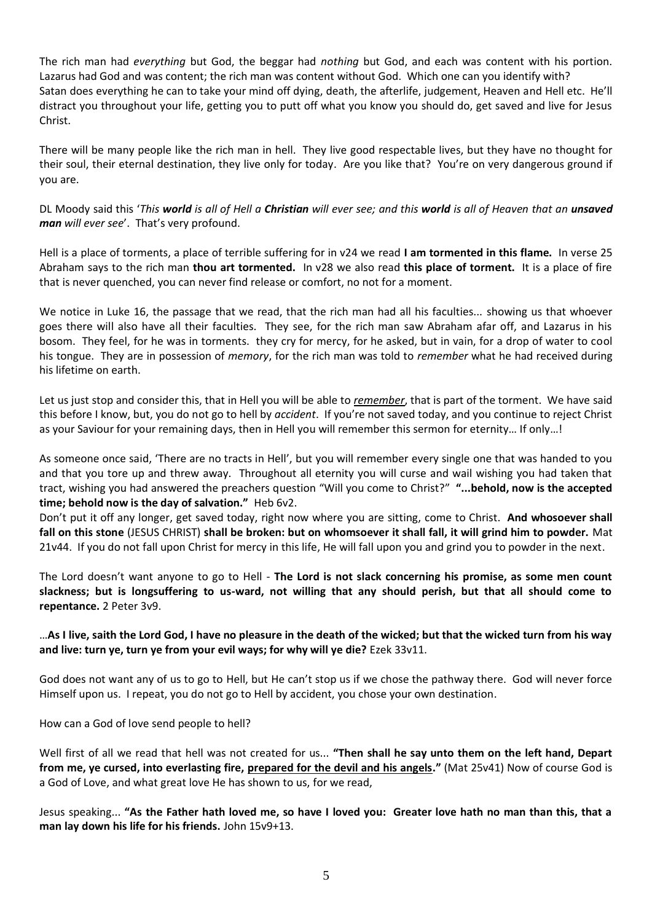The rich man had *everything* but God, the beggar had *nothing* but God, and each was content with his portion. Lazarus had God and was content; the rich man was content without God. Which one can you identify with? Satan does everything he can to take your mind off dying, death, the afterlife, judgement, Heaven and Hell etc. He'll distract you throughout your life, getting you to putt off what you know you should do, get saved and live for Jesus Christ.

There will be many people like the rich man in hell. They live good respectable lives, but they have no thought for their soul, their eternal destination, they live only for today. Are you like that? You're on very dangerous ground if you are.

DL Moody said this '*This world is all of Hell a Christian will ever see; and this world is all of Heaven that an unsaved man will ever see*'. That's very profound.

Hell is a place of torments, a place of terrible suffering for in v24 we read **I am tormented in this flame.** In verse 25 Abraham says to the rich man **thou art tormented.** In v28 we also read **this place of torment.** It is a place of fire that is never quenched, you can never find release or comfort, no not for a moment.

We notice in Luke 16, the passage that we read, that the rich man had all his faculties... showing us that whoever goes there will also have all their faculties. They see, for the rich man saw Abraham afar off, and Lazarus in his bosom. They feel, for he was in torments. they cry for mercy, for he asked, but in vain, for a drop of water to cool his tongue. They are in possession of *memory*, for the rich man was told to *remember* what he had received during his lifetime on earth.

Let us just stop and consider this, that in Hell you will be able to *remember*, that is part of the torment. We have said this before I know, but, you do not go to hell by *accident*. If you're not saved today, and you continue to reject Christ as your Saviour for your remaining days, then in Hell you will remember this sermon for eternity… If only…!

As someone once said, 'There are no tracts in Hell', but you will remember every single one that was handed to you and that you tore up and threw away. Throughout all eternity you will curse and wail wishing you had taken that tract, wishing you had answered the preachers question "Will you come to Christ?" **"...behold, now is the accepted time; behold now is the day of salvation."** Heb 6v2.

Don't put it off any longer, get saved today, right now where you are sitting, come to Christ. **And whosoever shall fall on this stone** (JESUS CHRIST) **shall be broken: but on whomsoever it shall fall, it will grind him to powder.** Mat 21v44. If you do not fall upon Christ for mercy in this life, He will fall upon you and grind you to powder in the next.

The Lord doesn't want anyone to go to Hell - **The Lord is not slack concerning his promise, as some men count slackness; but is longsuffering to us-ward, not willing that any should perish, but that all should come to repentance.** 2 Peter 3v9.

# …**As I live, saith the Lord God, I have no pleasure in the death of the wicked; but that the wicked turn from his way and live: turn ye, turn ye from your evil ways; for why will ye die?** Ezek 33v11.

God does not want any of us to go to Hell, but He can't stop us if we chose the pathway there. God will never force Himself upon us. I repeat, you do not go to Hell by accident, you chose your own destination.

#### How can a God of love send people to hell?

Well first of all we read that hell was not created for us... **"Then shall he say unto them on the left hand, Depart from me, ye cursed, into everlasting fire, prepared for the devil and his angels."** (Mat 25v41) Now of course God is a God of Love, and what great love He has shown to us, for we read,

Jesus speaking... **"As the Father hath loved me, so have I loved you: Greater love hath no man than this, that a man lay down his life for his friends.** John 15v9+13.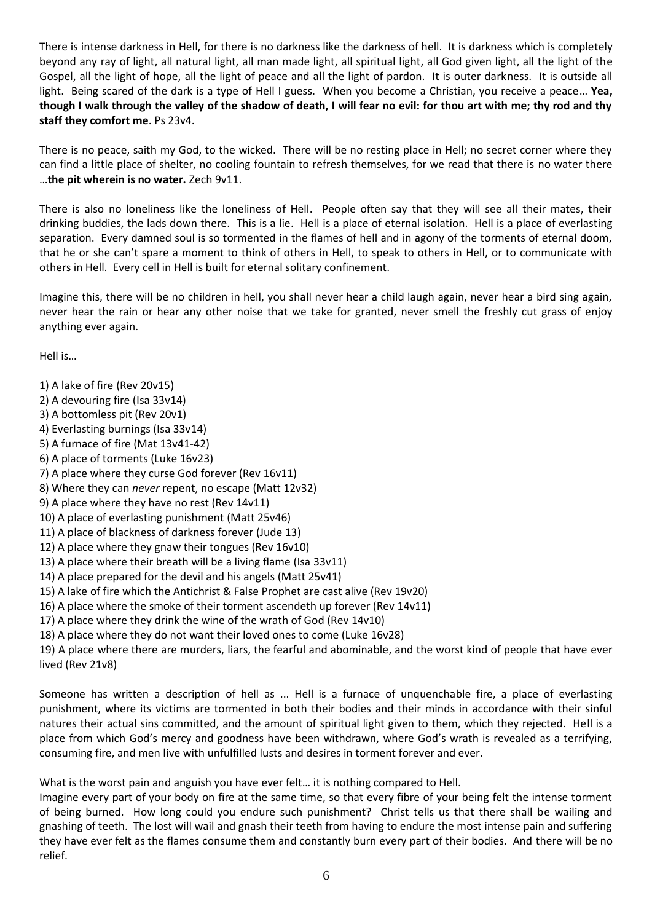There is intense darkness in Hell, for there is no darkness like the darkness of hell. It is darkness which is completely beyond any ray of light, all natural light, all man made light, all spiritual light, all God given light, all the light of the Gospel, all the light of hope, all the light of peace and all the light of pardon. It is outer darkness. It is outside all light. Being scared of the dark is a type of Hell I guess. When you become a Christian, you receive a peace… **Yea, though I walk through the valley of the shadow of death, I will fear no evil: for thou art with me; thy rod and thy staff they comfort me**. Ps 23v4.

There is no peace, saith my God, to the wicked. There will be no resting place in Hell; no secret corner where they can find a little place of shelter, no cooling fountain to refresh themselves, for we read that there is no water there …**the pit wherein is no water.** Zech 9v11.

There is also no loneliness like the loneliness of Hell. People often say that they will see all their mates, their drinking buddies, the lads down there. This is a lie. Hell is a place of eternal isolation. Hell is a place of everlasting separation. Every damned soul is so tormented in the flames of hell and in agony of the torments of eternal doom, that he or she can't spare a moment to think of others in Hell, to speak to others in Hell, or to communicate with others in Hell. Every cell in Hell is built for eternal solitary confinement.

Imagine this, there will be no children in hell, you shall never hear a child laugh again, never hear a bird sing again, never hear the rain or hear any other noise that we take for granted, never smell the freshly cut grass of enjoy anything ever again.

Hell is…

1) A lake of fire (Rev 20v15) 2) A devouring fire (Isa 33v14) 3) A bottomless pit (Rev 20v1) 4) Everlasting burnings (Isa 33v14) 5) A furnace of fire (Mat 13v41-42) 6) A place of torments (Luke 16v23) 7) A place where they curse God forever (Rev 16v11) 8) Where they can *never* repent, no escape (Matt 12v32) 9) A place where they have no rest (Rev 14v11) 10) A place of everlasting punishment (Matt 25v46) 11) A place of blackness of darkness forever (Jude 13) 12) A place where they gnaw their tongues (Rev 16v10) 13) A place where their breath will be a living flame (Isa 33v11) 14) A place prepared for the devil and his angels (Matt 25v41) 15) A lake of fire which the Antichrist & False Prophet are cast alive (Rev 19v20) 16) A place where the smoke of their torment ascendeth up forever (Rev 14v11) 17) A place where they drink the wine of the wrath of God (Rev 14v10) 18) A place where they do not want their loved ones to come (Luke 16v28) 19) A place where there are murders, liars, the fearful and abominable, and the worst kind of people that have ever lived (Rev 21v8)

Someone has written a description of hell as ... Hell is a furnace of unquenchable fire, a place of everlasting punishment, where its victims are tormented in both their bodies and their minds in accordance with their sinful natures their actual sins committed, and the amount of spiritual light given to them, which they rejected. Hell is a place from which God's mercy and goodness have been withdrawn, where God's wrath is revealed as a terrifying, consuming fire, and men live with unfulfilled lusts and desires in torment forever and ever.

What is the worst pain and anguish you have ever felt… it is nothing compared to Hell.

Imagine every part of your body on fire at the same time, so that every fibre of your being felt the intense torment of being burned. How long could you endure such punishment? Christ tells us that there shall be wailing and gnashing of teeth. The lost will wail and gnash their teeth from having to endure the most intense pain and suffering they have ever felt as the flames consume them and constantly burn every part of their bodies. And there will be no relief.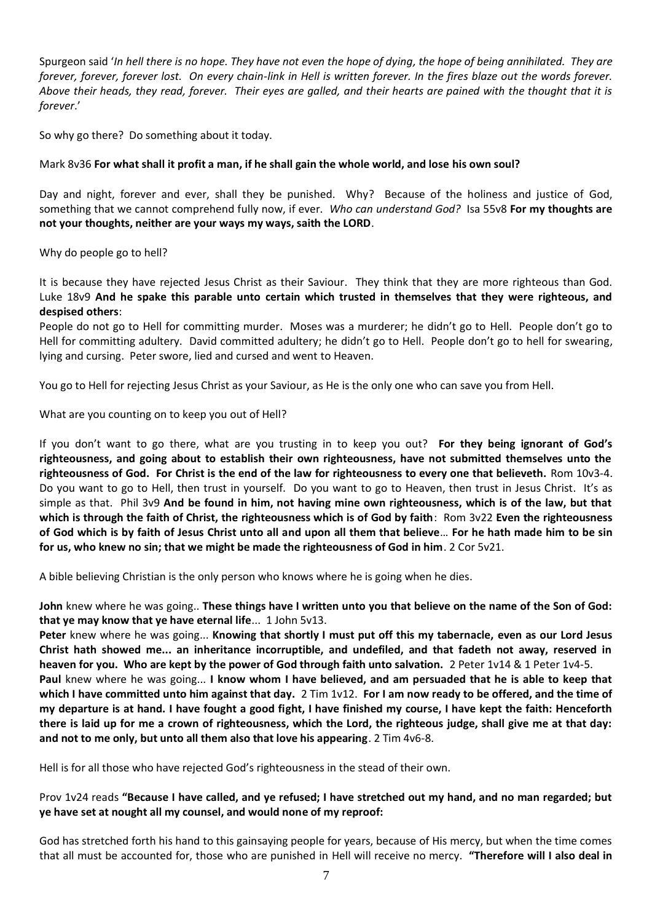Spurgeon said '*In hell there is no hope. They have not even the hope of dying, the hope of being annihilated. They are forever, forever, forever lost. On every chain-link in Hell is written forever. In the fires blaze out the words forever. Above their heads, they read, forever. Their eyes are galled, and their hearts are pained with the thought that it is forever*.'

So why go there? Do something about it today.

## Mark 8v36 **For what shall it profit a man, if he shall gain the whole world, and lose his own soul?**

Day and night, forever and ever, shall they be punished. Why? Because of the holiness and justice of God, something that we cannot comprehend fully now, if ever. *Who can understand God?* Isa 55v8 **For my thoughts are not your thoughts, neither are your ways my ways, saith the LORD**.

Why do people go to hell?

It is because they have rejected Jesus Christ as their Saviour. They think that they are more righteous than God. Luke 18v9 **And he spake this parable unto certain which trusted in themselves that they were righteous, and despised others**:

People do not go to Hell for committing murder. Moses was a murderer; he didn't go to Hell. People don't go to Hell for committing adultery. David committed adultery; he didn't go to Hell. People don't go to hell for swearing, lying and cursing. Peter swore, lied and cursed and went to Heaven.

You go to Hell for rejecting Jesus Christ as your Saviour, as He is the only one who can save you from Hell.

What are you counting on to keep you out of Hell?

If you don't want to go there, what are you trusting in to keep you out? **For they being ignorant of God's righteousness, and going about to establish their own righteousness, have not submitted themselves unto the righteousness of God. For Christ is the end of the law for righteousness to every one that believeth.** Rom 10v3-4. Do you want to go to Hell, then trust in yourself. Do you want to go to Heaven, then trust in Jesus Christ. It's as simple as that. Phil 3v9 **And be found in him, not having mine own righteousness, which is of the law, but that which is through the faith of Christ, the righteousness which is of God by faith**: Rom 3v22 **Even the righteousness of God which is by faith of Jesus Christ unto all and upon all them that believe**… **For he hath made him to be sin for us, who knew no sin; that we might be made the righteousness of God in him**. 2 Cor 5v21.

A bible believing Christian is the only person who knows where he is going when he dies.

**John** knew where he was going.. **These things have I written unto you that believe on the name of the Son of God: that ye may know that ye have eternal life**... 1 John 5v13.

**Peter** knew where he was going... **Knowing that shortly I must put off this my tabernacle, even as our Lord Jesus Christ hath showed me... an inheritance incorruptible, and undefiled, and that fadeth not away, reserved in heaven for you. Who are kept by the power of God through faith unto salvation.** 2 Peter 1v14 & 1 Peter 1v4-5. **Paul** knew where he was going... **I know whom I have believed, and am persuaded that he is able to keep that which I have committed unto him against that day.** 2 Tim 1v12. **For I am now ready to be offered, and the time of my departure is at hand. I have fought a good fight, I have finished my course, I have kept the faith: Henceforth there is laid up for me a crown of righteousness, which the Lord, the righteous judge, shall give me at that day: and not to me only, but unto all them also that love his appearing**. 2 Tim 4v6-8.

Hell is for all those who have rejected God's righteousness in the stead of their own.

# Prov 1v24 reads **"Because I have called, and ye refused; I have stretched out my hand, and no man regarded; but ye have set at nought all my counsel, and would none of my reproof:**

God has stretched forth his hand to this gainsaying people for years, because of His mercy, but when the time comes that all must be accounted for, those who are punished in Hell will receive no mercy. **"Therefore will I also deal in**